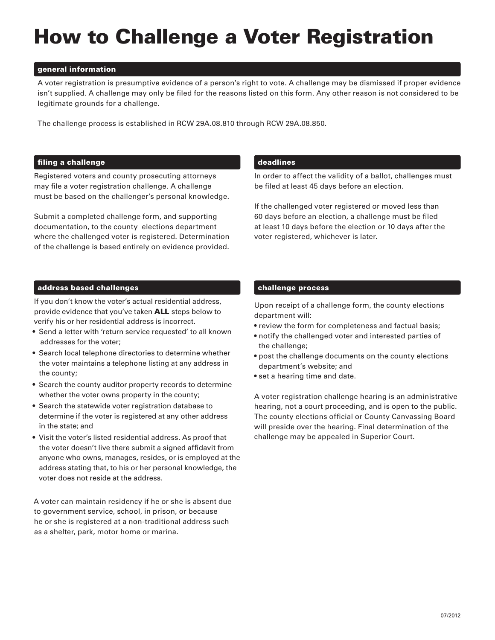# How to Challenge a Voter Registration

### general information

A voter registration is presumptive evidence of a person's right to vote. A challenge may be dismissed if proper evidence isn't supplied. A challenge may only be filed for the reasons listed on this form. Any other reason is not considered to be legitimate grounds for a challenge.

The challenge process is established in RCW 29A.08.810 through RCW 29A.08.850.

### filing a challenge

Registered voters and county prosecuting attorneys may file a voter registration challenge. A challenge must be based on the challenger's personal knowledge.

Submit a completed challenge form, and supporting documentation, to the county elections department where the challenged voter is registered. Determination of the challenge is based entirely on evidence provided.

### address based challenges

If you don't know the voter's actual residential address, provide evidence that you've taken ALL steps below to verify his or her residential address is incorrect.

- Send a letter with 'return service requested' to all known addresses for the voter;
- Search local telephone directories to determine whether the voter maintains a telephone listing at any address in the county;
- Search the county auditor property records to determine whether the voter owns property in the county;
- Search the statewide voter registration database to determine if the voter is registered at any other address in the state; and
- Visit the voter's listed residential address. As proof that the voter doesn't live there submit a signed affidavit from anyone who owns, manages, resides, or is employed at the address stating that, to his or her personal knowledge, the voter does not reside at the address.

A voter can maintain residency if he or she is absent due to government service, school, in prison, or because he or she is registered at a non-traditional address such as a shelter, park, motor home or marina.

### deadlines

In order to affect the validity of a ballot, challenges must be filed at least 45 days before an election.

If the challenged voter registered or moved less than 60 days before an election, a challenge must be filed at least 10 days before the election or 10 days after the voter registered, whichever is later.

### challenge process

Upon receipt of a challenge form, the county elections department will:

- review the form for completeness and factual basis;
- notify the challenged voter and interested parties of the challenge;
- post the challenge documents on the county elections department's website; and
- set a hearing time and date.

A voter registration challenge hearing is an administrative hearing, not a court proceeding, and is open to the public. The county elections official or County Canvassing Board will preside over the hearing. Final determination of the challenge may be appealed in Superior Court.